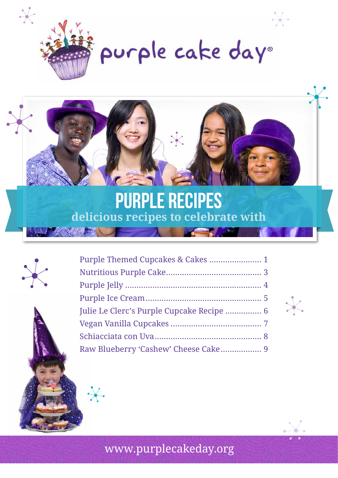

purple cake day®



# PURPLE RECIPES **delicious recipes to celebrate with**



| Julie Le Clerc's Purple Cupcake Recipe  6 |  |
|-------------------------------------------|--|
|                                           |  |
|                                           |  |
|                                           |  |

 $\mathsf{X}$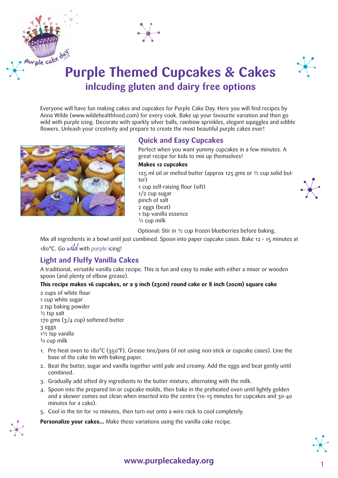



# **Purple Themed Cupcakes & Cakes inlcuding gluten and dairy free options**

Everyone will have fun making cakes and cupcakes for Purple Cake Day. Here you will find recipes by Anna Wilde (www.wildehealthfood.com) for every cook. Bake up your favourite variation and then go wild with purple icing. Decorate with sparkly silver balls, rainbow sprinkles, elegant squiggles and edible flowers. Unleash your creativity and prepare to create the most beautiful purple cakes ever!



## **Quick and Easy Cupcakes**

Perfect when you want yummy cupcakes in a few minutes. A great recipe for kids to mix up themselves!

#### **Makes 12 cupcakes**

125 ml oil or melted butter (approx 125 gms or  $\frac{1}{2}$  cup solid butter) 1 cup self-raising flour (sift) 1/2 cup sugar pinch of salt 2 eggs (beat) 1 tsp vanilla essence ¼ cup milk



Optional: Stir in ½ cup frozen blueberries before baking.

Mix all ingredients in a bowl until just combined. Spoon into paper cupcake cases. Bake 12 – 15 minutes at 180°C. Go wild with purple icing!

## **Light and Fluffy Vanilla Cakes**

A traditional, versatile vanilla cake recipe. This is fun and easy to make with either a mixer or wooden spoon (and plenty of elbow grease).

#### **This recipe makes 16 cupcakes, or a 9 inch (23cm) round cake or 8 inch (20cm) square cake**

2 cups of white flour 1 cup white sugar 2 tsp baking powder  $\frac{1}{2}$  tsp salt 170 gms (3/4 cup) softened butter 3 eggs 1½ tsp vanilla ¾ cup milk

- 1. Pre-heat oven to 180°C (350°F). Grease tins/pans (if not using non-stick or cupcake cases). Line the base of the cake tin with baking paper.
- 2. Beat the butter, sugar and vanilla together until pale and creamy. Add the eggs and beat gently until combined.
- 3. Gradually add sifted dry ingredients to the butter mixture, alternating with the milk.
- 4. Spoon into the prepared tin or cupcake molds, then bake in the preheated oven until lightly golden and a skewer comes out clean when inserted into the centre (10-15 minutes for cupcakes and 30-40 minutes for a cake).
- 5. Cool in the tin for 10 minutes, then turn out onto a wire rack to cool completely.

**Personalize your cakes…** Make these variations using the vanilla cake recipe.



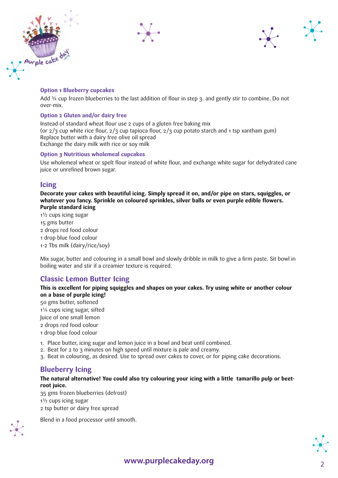





#### **Option 1 Blueberry cupcakes**

Add ¾ cup frozen blueberries to the last addition of flour in step 3. and gently stir to combine. Do not over-mix.

#### **Option 2 Gluten and/or dairy free**

Instead of standard wheat flour use 2 cups of a gluten free baking mix (or 2/3 cup white rice flour, 2/3 cup tapioca flour, 2/3 cup potato starch and 1 tsp xantham gum) Replace butter with a dairy free olive oil spread Exchange the dairy milk with rice or soy milk

#### **Option 3 Nutritious wholemeal cupcakes**

Use wholemeal wheat or spelt flour instead of white flour, and exchange white sugar for dehydrated cane juice or unrefined brown sugar.

### **Icing**

**Decorate your cakes with beautiful icing. Simply spread it on, and/or pipe on stars, squiggles, or whatever you fancy. Sprinkle on coloured sprinkles, silver balls or even purple edible flowers. Purple standard icing**

1½ cups icing sugar 15 gms butter 2 drops red food colour 1 drop blue food colour 1-2 Tbs milk (dairy/rice/soy)

Mix sugar, butter and colouring in a small bowl and slowly dribble in milk to give a firm paste. Sit bowl in boiling water and stir if a creamier texture is required.

# **Classic Lemon Butter Icing**

**This is excellent for piping squiggles and shapes on your cakes. Try using white or another colour on a base of purple icing!** 50 gms butter, softened 1¼ cups icing sugar, sifted

- Juice of one small lemon 2 drops red food colour 1 drop blue food colour
- 1. Place butter, icing sugar and lemon juice in a bowl and beat until combined.
- 2. Beat for 2 to 3 minutes on high speed until mixture is pale and creamy.
- 3. Beat in colouring, as desired. Use to spread over cakes to cover, or for piping cake decorations.

## **Blueberry Icing**

#### **The natural alternative! You could also try colouring your icing with a little tamarillo pulp or beetroot juice.**

35 gms frozen blueberries (defrost) 1½ cups icing sugar 2 tsp butter or dairy free spread

Blend in a food processor until smooth.



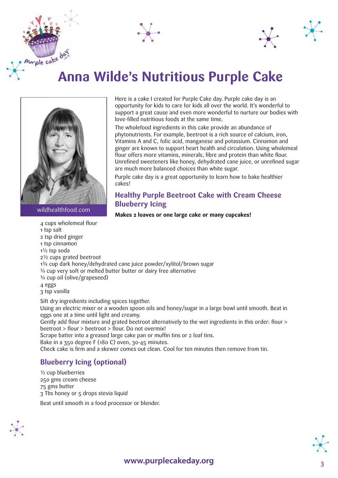



# urple cake do **Anna Wilde's Nutritious Purple Cake**



wildhealthfood.com

Here is a cake I created for Purple Cake day. Purple cake day is an opportunity for kids to care for kids all over the world. It's wonderful to support a great cause and even more wonderful to nurture our bodies with love-filled nutritious foods at the same time.

The wholefood ingredients in this cake provide an abundance of phytonutrients. For example, beetroot is a rich source of calcium, iron, Vitamins A and C, folic acid, manganese and potassium. Cinnamon and ginger are known to support heart health and circulation. Using wholemeal flour offers more vitamins, minerals, fibre and protein than white flour. Unrefined sweeteners like honey, dehydrated cane juice, or unrefined sugar are much more balanced choices than white sugar.

Purple cake day is a great opportunity to learn how to bake healthier cakes!

### **Healthy Purple Beetroot Cake with Cream Cheese Blueberry Icing**

**Makes 2 loaves or one large cake or many cupcakes!**

4 cups wholemeal flour 1 tsp salt 2 tsp dried ginger 1 tsp cinnamon 1½ tsp soda 2½ cups grated beetroot 1¾ cup dark honey/dehydrated cane juice powder/xylitol/brown sugar ¾ cup very soft or melted butter butter or dairy free alternative ¾ cup oil (olive/grapeseed) 4 eggs 3 tsp vanilla Sift dry ingredients including spices together. Using an electric mixer or a wooden spoon oils and honey/sugar in a large bowl until smooth. Beat in eggs one at a time until light and creamy. Gently add flour mixture and grated beetroot alternatively to the wet ingredients in this order: flour > beetroot > flour > beetroot > flour. Do not overmix!

Scrape batter into a greased large cake pan or muffin tins or 2 loaf tins.

Bake in a 350 degree F (180 C) oven, 30-45 minutes.

Check cake is firm and a skewer comes out clean. Cool for ten minutes then remove from tin.

# **Blueberry Icing (optional)**

½ cup blueberries 250 gms cream cheese 75 gms butter 3 Tbs honey or 5 drops stevia liquid

Beat until smooth in a food processor or blender.



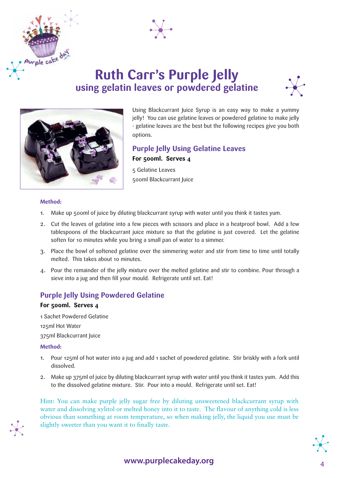

# **Ruth Carr's Purple Jelly using gelatin leaves or powdered gelatine**





Using Blackcurrant Juice Syrup is an easy way to make a yummy jelly! You can use gelatine leaves or powdered gelatine to make jelly - gelatine leaves are the best but the following recipes give you both options.

## **Purple Jelly Using Gelatine Leaves For 500ml. Serves 4**

5 Gelatine Leaves 500ml Blackcurrant Juice

#### **Method:**

urple cake day

- 1. Make up 500ml of juice by diluting blackcurrant syrup with water until you think it tastes yum.
- 2. Cut the leaves of gelatine into a few pieces with scissors and place in a heatproof bowl. Add a few tablespoons of the blackcurrant juice mixture so that the gelatine is just covered. Let the gelatine soften for 10 minutes while you bring a small pan of water to a simmer.
- 3. Place the bowl of softened gelatine over the simmering water and stir from time to time until totally melted. This takes about 10 minutes.
- 4. Pour the remainder of the jelly mixture over the melted gelatine and stir to combine. Pour through a sieve into a jug and then fill your mould. Refrigerate until set. Eat!

# **Purple Jelly Using Powdered Gelatine**

#### **For 500ml. Serves 4**

1 Sachet Powdered Gelatine 125ml Hot Water 375ml Blackcurrant Juice

#### **Method:**

- 1. Pour 125ml of hot water into a jug and add 1 sachet of powdered gelatine. Stir briskly with a fork until dissolved.
- 2. Make up 375ml of juice by diluting blackcurrant syrup with water until you think it tastes yum. Add this to the dissolved gelatine mixture. Stir. Pour into a mould. Refrigerate until set. Eat!

Hint: You can make purple jelly sugar free by diluting unsweetened blackcurrant syrup with water and dissolving xylitol or melted honey into it to taste. The flavour of anything cold is less obvious than something at room temperature, so when making jelly, the liquid you use must be slightly sweeter than you want it to finally taste.

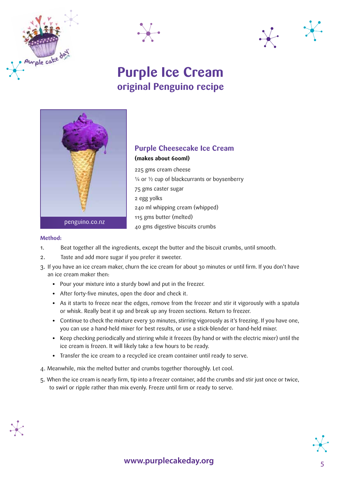





# **Purple Ice Cream original Penguino recipe**



# **Purple Cheesecake Ice Cream (makes about 600ml)**

225 gms cream cheese  $\frac{1}{4}$  or  $\frac{1}{2}$  cup of blackcurrants or boysenberry 75 gms caster sugar 2 egg yolks 240 ml whipping cream (whipped) 115 gms butter (melted) 40 gms digestive biscuits crumbs

#### **Method:**

- 1. Beat together all the ingredients, except the butter and the biscuit crumbs, until smooth.
- 2. Taste and add more sugar if you prefer it sweeter.
- 3. If you have an ice cream maker, churn the ice cream for about 30 minutes or until firm. If you don't have an ice cream maker then:
	- **•** Pour your mixture into a sturdy bowl and put in the freezer.
	- **•** After forty-five minutes, open the door and check it.
	- **•** As it starts to freeze near the edges, remove from the freezer and stir it vigorously with a spatula or whisk. Really beat it up and break up any frozen sections. Return to freezer.
	- **•** Continue to check the mixture every 30 minutes, stirring vigorously as it's freezing. If you have one, you can use a hand-held mixer for best results, or use a stick-blender or hand-held mixer.
	- **•** Keep checking periodically and stirring while it freezes (by hand or with the electric mixer) until the ice cream is frozen. It will likely take a few hours to be ready.
	- **•** Transfer the ice cream to a recycled ice cream container until ready to serve.
- 4. Meanwhile, mix the melted butter and crumbs together thoroughly. Let cool.
- 5. When the ice cream is nearly firm, tip into a freezer container, add the crumbs and stir just once or twice, to swirl or ripple rather than mix evenly. Freeze until firm or ready to serve.



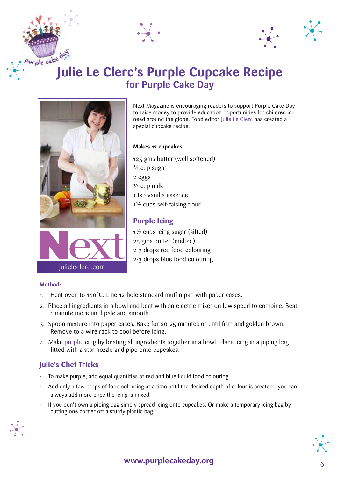



# **Julie Le Clerc's Purple Cupcake Recipe for Purple Cake Day**





Next Magazine is encouraging readers to support Purple Cake Day to raise money to provide education opportunities for children in need around the globe. Food editor Julie Le Clerc has created a special cupcake recipe.

#### **Makes 12 cupcakes**

125 gms butter (well softened) ¾ cup sugar 2 eggs  $\frac{1}{2}$  cup milk 1 tsp vanilla essence 1½ cups self-raising flour

## **Purple Icing**

1½ cups icing sugar (sifted) 25 gms butter (melted) 2-3 drops red food colouring 2-3 drops blue food colouring

#### **Method:**

- 1. Heat oven to 180°C. Line 12-hole standard muffin pan with paper cases.
- 2. Place all ingredients in a bowl and beat with an electric mixer on low speed to combine. Beat 1 minute more until pale and smooth.
- 3. Spoon mixture into paper cases. Bake for 20-25 minutes or until firm and golden brown. Remove to a wire rack to cool before icing.
- 4. Make purple icing by beating all ingredients together in a bowl. Place icing in a piping bag fitted with a star nozzle and pipe onto cupcakes.

## **Julie's Chef Tricks**

- To make purple, add equal quantities of red and blue liquid food colouring.
- Add only a few drops of food colouring at a time until the desired depth of colour is created you can always add more once the icing is mixed.
- · If you don't own a piping bag simply spread icing onto cupcakes. Or make a temporary icing bag by cutting one corner off a sturdy plastic bag.



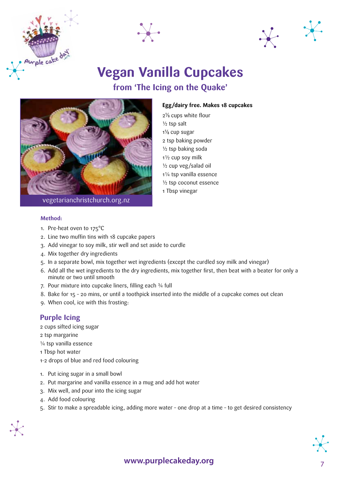





# **Vegan Vanilla Cupcakes from 'The Icing on the Quake'**



#### **Egg/dairy free. Makes 18 cupcakes**

 $2\frac{1}{8}$  cups white flour ½ tsp salt  $1\%$  cup sugar 2 tsp baking powder ½ tsp baking soda 1½ cup soy milk ½ cup veg/salad oil 1¼ tsp vanilla essence ½ tsp coconut essence 1 Tbsp vinegar

#### **Method:**

- 1. Pre-heat oven to 175°C
- 2. Line two muffin tins with 18 cupcake papers
- 3. Add vinegar to soy milk, stir well and set aside to curdle
- 4. Mix together dry ingredients
- 5. In a separate bowl, mix together wet ingredients (except the curdled soy milk and vinegar)
- 6. Add all the wet ingredients to the dry ingredients, mix together first, then beat with a beater for only a minute or two until smooth
- 7. Pour mixture into cupcake liners, filling each ¾ full
- 8. Bake for 15 20 mins, or until a toothpick inserted into the middle of a cupcake comes out clean
- 9. When cool, ice with this frosting:

#### **Purple Icing**

- 2 cups sifted icing sugar
- 2 tsp margarine
- ¼ tsp vanilla essence
- 1 Tbsp hot water
- 1-2 drops of blue and red food colouring
- 1. Put icing sugar in a small bowl
- 2. Put margarine and vanilla essence in a mug and add hot water
- 3. Mix well, and pour into the icing sugar
- 4. Add food colouring
- 5. Stir to make a spreadable icing, adding more water one drop at a time to get desired consistency



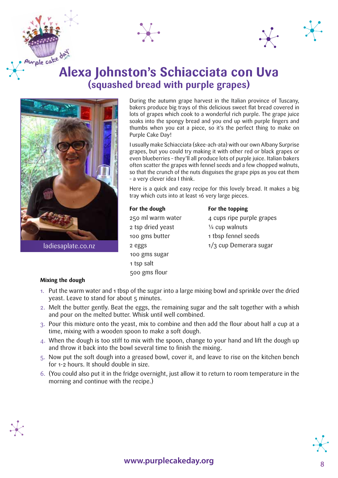



# **Alexa Johnston's Schiacciata con Uva (squashed bread with purple grapes)**



During the autumn grape harvest in the Italian province of Tuscany, bakers produce big trays of this delicious sweet flat bread covered in lots of grapes which cook to a wonderful rich purple. The grape juice soaks into the spongy bread and you end up with purple fingers and thumbs when you eat a piece, so it's the perfect thing to make on Purple Cake Day!

I usually make Schiacciata (skee-ach-ata) with our own Albany Surprise grapes, but you could try making it with other red or black grapes or even blueberries – they'll all produce lots of purple juice. Italian bakers often scatter the grapes with fennel seeds and a few chopped walnuts, so that the crunch of the nuts disguises the grape pips as you eat them – a very clever idea I think.

Here is a quick and easy recipe for this lovely bread. It makes a big tray which cuts into at least 16 very large pieces.

# **For the dough For the topping** 2 tsp dried yeast  $\frac{1}{4}$  cup walnuts 100 gms sugar 1 tsp salt 500 gms flour

 $250$  ml warm water  $4$  cups ripe purple grapes 100 gms butter 1 tbsp fennel seeds  $2 \text{ eggs}$   $1/3 \text{ cup}$  Demerara sugar

#### **Mixing the dough**

- 1. Put the warm water and 1 tbsp of the sugar into a large mixing bowl and sprinkle over the dried yeast. Leave to stand for about 5 minutes.
- 2. Melt the butter gently. Beat the eggs, the remaining sugar and the salt together with a whish and pour on the melted butter. Whisk until well combined.
- 3. Pour this mixture onto the yeast, mix to combine and then add the flour about half a cup at a time, mixing with a wooden spoon to make a soft dough.
- 4. When the dough is too stiff to mix with the spoon, change to your hand and lift the dough up and throw it back into the bowl several time to finish the mixing.
- 5. Now put the soft dough into a greased bowl, cover it, and leave to rise on the kitchen bench for 1-2 hours. It should double in size.
- 6. (You could also put it in the fridge overnight, just allow it to return to room temperature in the morning and continue with the recipe.)